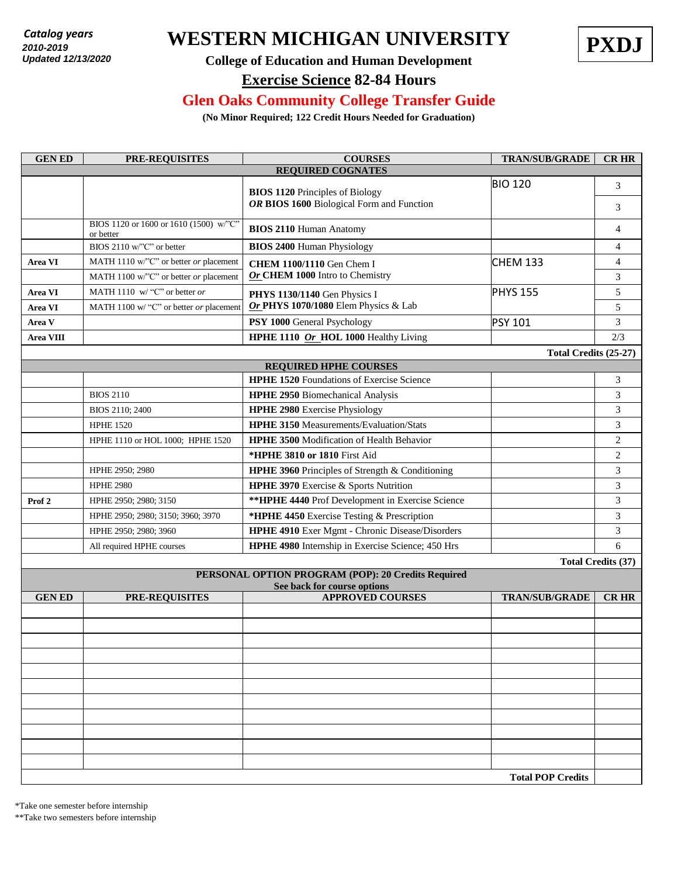*2010 - present* **2010-2019** *Updated: 7/18/2018*  **Updated 12/13/2020**

# **WESTERN MICHIGAN UNIVERSITY PXDJ** *Catalog years*



### **College of Education and Human Development**

#### **Exercise Science 82-84 Hours**

#### **Glen Oaks Community College Transfer Guide**

**(No Minor Required; 122 Credit Hours Needed for Graduation)**

| <b>GENED</b>                                       | <b>PRE-REQUISITES</b>                               | <b>COURSES</b>                                                                      | <b>TRAN/SUB/GRADE</b>    | <b>CR HR</b>              |  |  |  |
|----------------------------------------------------|-----------------------------------------------------|-------------------------------------------------------------------------------------|--------------------------|---------------------------|--|--|--|
| <b>REQUIRED COGNATES</b>                           |                                                     |                                                                                     |                          |                           |  |  |  |
|                                                    |                                                     | <b>BIOS 1120 Principles of Biology</b><br>OR BIOS 1600 Biological Form and Function | <b>BIO 120</b>           | 3                         |  |  |  |
|                                                    |                                                     |                                                                                     |                          | 3                         |  |  |  |
|                                                    | BIOS 1120 or 1600 or 1610 (1500) w/"C"<br>or better | <b>BIOS 2110 Human Anatomy</b>                                                      |                          | 4                         |  |  |  |
|                                                    | BIOS 2110 w/"C" or better                           | <b>BIOS 2400 Human Physiology</b>                                                   |                          | $\overline{4}$            |  |  |  |
| Area VI                                            | MATH 1110 w/"C" or better or placement              | <b>CHEM 1100/1110</b> Gen Chem I                                                    | <b>CHEM 133</b>          | 4                         |  |  |  |
|                                                    | MATH 1100 w/"C" or better or placement              | Or CHEM 1000 Intro to Chemistry                                                     |                          | 3                         |  |  |  |
| Area VI                                            | MATH 1110 w/ "C" or better or                       | PHYS 1130/1140 Gen Physics I                                                        | <b>PHYS 155</b>          | 5                         |  |  |  |
| <b>Area VI</b>                                     | MATH 1100 w/ "C" or better or placement             | Or PHYS 1070/1080 Elem Physics & Lab                                                |                          | 5                         |  |  |  |
| Area V                                             |                                                     | PSY 1000 General Psychology                                                         | <b>PSY 101</b>           | 3                         |  |  |  |
| <b>Area VIII</b>                                   |                                                     | HPHE 1110 Or_HOL 1000 Healthy Living                                                |                          | 2/3                       |  |  |  |
|                                                    |                                                     |                                                                                     | Total Credits (25-27)    |                           |  |  |  |
| <b>REQUIRED HPHE COURSES</b>                       |                                                     |                                                                                     |                          |                           |  |  |  |
|                                                    |                                                     | <b>HPHE 1520</b> Foundations of Exercise Science                                    |                          | 3                         |  |  |  |
|                                                    | <b>BIOS 2110</b>                                    | <b>HPHE 2950</b> Biomechanical Analysis                                             |                          | 3                         |  |  |  |
|                                                    | BIOS 2110; 2400                                     | <b>HPHE 2980</b> Exercise Physiology                                                |                          | 3                         |  |  |  |
|                                                    | <b>HPHE 1520</b>                                    | <b>HPHE 3150</b> Measurements/Evaluation/Stats                                      |                          | 3                         |  |  |  |
|                                                    | HPHE 1110 or HOL 1000; HPHE 1520                    | HPHE 3500 Modification of Health Behavior                                           |                          | 2                         |  |  |  |
|                                                    |                                                     | *HPHE 3810 or 1810 First Aid                                                        |                          | 2                         |  |  |  |
|                                                    | HPHE 2950; 2980                                     | HPHE 3960 Principles of Strength & Conditioning                                     |                          | 3                         |  |  |  |
|                                                    | <b>HPHE 2980</b>                                    | HPHE 3970 Exercise & Sports Nutrition                                               |                          | 3                         |  |  |  |
| Prof <sub>2</sub>                                  | HPHE 2950; 2980; 3150                               | ** HPHE 4440 Prof Development in Exercise Science                                   |                          | 3                         |  |  |  |
|                                                    | HPHE 2950; 2980; 3150; 3960; 3970                   | *HPHE 4450 Exercise Testing & Prescription                                          |                          | 3                         |  |  |  |
|                                                    | HPHE 2950; 2980; 3960                               | HPHE 4910 Exer Mgmt - Chronic Disease/Disorders                                     |                          | 3                         |  |  |  |
|                                                    | All required HPHE courses                           | HPHE 4980 Internship in Exercise Science; 450 Hrs                                   |                          | 6                         |  |  |  |
|                                                    |                                                     |                                                                                     |                          | <b>Total Credits (37)</b> |  |  |  |
| PERSONAL OPTION PROGRAM (POP): 20 Credits Required |                                                     |                                                                                     |                          |                           |  |  |  |
| <b>GENED</b>                                       | <b>PRE-REQUISITES</b>                               | See back for course options<br><b>APPROVED COURSES</b>                              | <b>TRAN/SUB/GRADE</b>    | <b>CR HR</b>              |  |  |  |
|                                                    |                                                     |                                                                                     |                          |                           |  |  |  |
|                                                    |                                                     |                                                                                     |                          |                           |  |  |  |
|                                                    |                                                     |                                                                                     |                          |                           |  |  |  |
|                                                    |                                                     |                                                                                     |                          |                           |  |  |  |
|                                                    |                                                     |                                                                                     |                          |                           |  |  |  |
|                                                    |                                                     |                                                                                     |                          |                           |  |  |  |
|                                                    |                                                     |                                                                                     |                          |                           |  |  |  |
|                                                    |                                                     |                                                                                     |                          |                           |  |  |  |
|                                                    |                                                     |                                                                                     |                          |                           |  |  |  |
|                                                    |                                                     |                                                                                     |                          |                           |  |  |  |
|                                                    |                                                     |                                                                                     |                          |                           |  |  |  |
|                                                    |                                                     |                                                                                     | <b>Total POP Credits</b> |                           |  |  |  |

\*Take one semester before internship

\*\*Take two semesters before internship